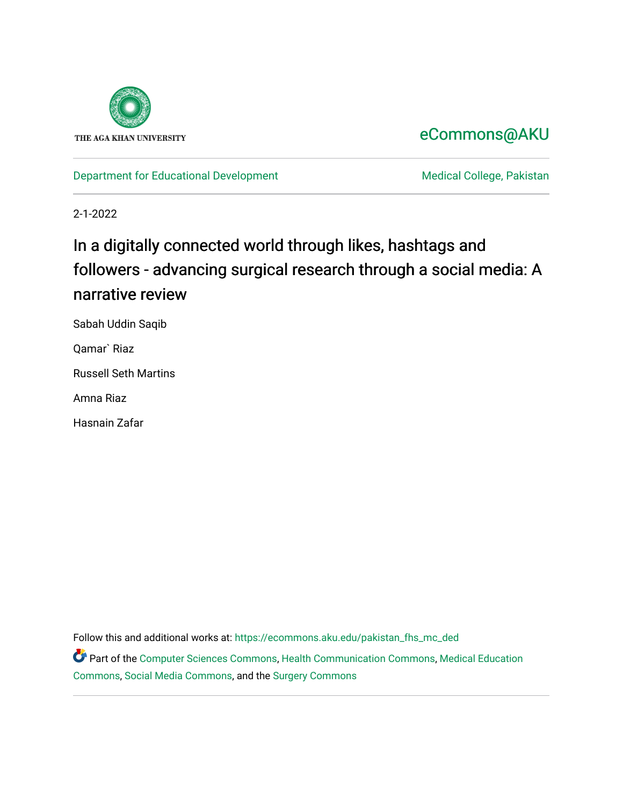

# [eCommons@AKU](https://ecommons.aku.edu/)

[Department for Educational Development](https://ecommons.aku.edu/pakistan_fhs_mc_ded) Medical College, Pakistan

2-1-2022

# In a digitally connected world through likes, hashtags and followers - advancing surgical research through a social media: A narrative review

Sabah Uddin Saqib

Qamar` Riaz

Russell Seth Martins

Amna Riaz

Hasnain Zafar

Follow this and additional works at: [https://ecommons.aku.edu/pakistan\\_fhs\\_mc\\_ded](https://ecommons.aku.edu/pakistan_fhs_mc_ded?utm_source=ecommons.aku.edu%2Fpakistan_fhs_mc_ded%2F50&utm_medium=PDF&utm_campaign=PDFCoverPages)

Part of the [Computer Sciences Commons](http://network.bepress.com/hgg/discipline/142?utm_source=ecommons.aku.edu%2Fpakistan_fhs_mc_ded%2F50&utm_medium=PDF&utm_campaign=PDFCoverPages), [Health Communication Commons,](http://network.bepress.com/hgg/discipline/330?utm_source=ecommons.aku.edu%2Fpakistan_fhs_mc_ded%2F50&utm_medium=PDF&utm_campaign=PDFCoverPages) [Medical Education](http://network.bepress.com/hgg/discipline/1125?utm_source=ecommons.aku.edu%2Fpakistan_fhs_mc_ded%2F50&utm_medium=PDF&utm_campaign=PDFCoverPages) [Commons](http://network.bepress.com/hgg/discipline/1125?utm_source=ecommons.aku.edu%2Fpakistan_fhs_mc_ded%2F50&utm_medium=PDF&utm_campaign=PDFCoverPages), [Social Media Commons](http://network.bepress.com/hgg/discipline/1249?utm_source=ecommons.aku.edu%2Fpakistan_fhs_mc_ded%2F50&utm_medium=PDF&utm_campaign=PDFCoverPages), and the [Surgery Commons](http://network.bepress.com/hgg/discipline/706?utm_source=ecommons.aku.edu%2Fpakistan_fhs_mc_ded%2F50&utm_medium=PDF&utm_campaign=PDFCoverPages)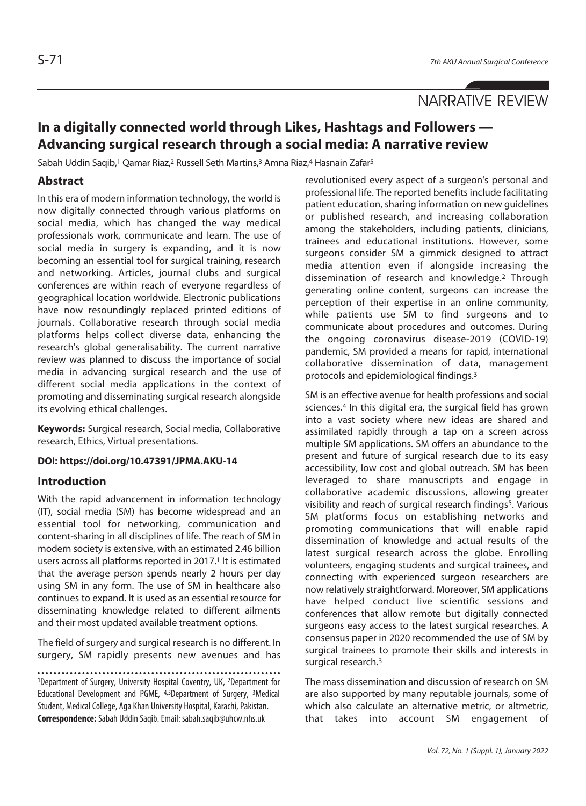## NARRATIVE REVIEW

### **In a digitally connected world through Likes, Hashtags and Followers — Advancing surgical research through a social media: A narrative review**

Sabah Uddin Saqib,<sup>1</sup> Qamar Riaz,<sup>2</sup> Russell Seth Martins,<sup>3</sup> Amna Riaz,<sup>4</sup> Hasnain Zafar<sup>5</sup>

#### **Abstract**

In this era of modern information technology, the world is now digitally connected through various platforms on social media, which has changed the way medical professionals work, communicate and learn. The use of social media in surgery is expanding, and it is now becoming an essential tool for surgical training, research and networking. Articles, journal clubs and surgical conferences are within reach of everyone regardless of geographical location worldwide. Electronic publications have now resoundingly replaced printed editions of journals. Collaborative research through social media platforms helps collect diverse data, enhancing the research's global generalisability. The current narrative review was planned to discuss the importance of social media in advancing surgical research and the use of different social media applications in the context of promoting and disseminating surgical research alongside its evolving ethical challenges.

**Keywords:** Surgical research, Social media, Collaborative research, Ethics, Virtual presentations.

#### **DOI: https://doi.org/10.47391/JPMA.AKU-14**

#### **Introduction**

With the rapid advancement in information technology (IT), social media (SM) has become widespread and an essential tool for networking, communication and content-sharing in all disciplines of life. The reach of SM in modern society is extensive, with an estimated 2.46 billion users across all platforms reported in 2017.<sup>1</sup> It is estimated that the average person spends nearly 2 hours per day using SM in any form. The use of SM in healthcare also continues to expand. It is used as an essential resource for disseminating knowledge related to different ailments and their most updated available treatment options.

The field of surgery and surgical research is no different. In surgery, SM rapidly presents new avenues and has

1Department of Surgery, University Hospital Coventry, UK, 2Department for Educational Development and PGME, 4,5Department of Surgery, 3Medical Student, Medical College, Aga Khan University Hospital, Karachi, Pakistan. **Correspondence:** Sabah Uddin Saqib. Email: sabah.saqib@uhcw.nhs.uk

revolutionised every aspect of a surgeon's personal and professional life. The reported benefits include facilitating patient education, sharing information on new guidelines or published research, and increasing collaboration among the stakeholders, including patients, clinicians, trainees and educational institutions. However, some surgeons consider SM a gimmick designed to attract media attention even if alongside increasing the dissemination of research and knowledge.2 Through generating online content, surgeons can increase the perception of their expertise in an online community, while patients use SM to find surgeons and to communicate about procedures and outcomes. During the ongoing coronavirus disease-2019 (COVID-19) pandemic, SM provided a means for rapid, international collaborative dissemination of data, management protocols and epidemiological findings.3

SM is an effective avenue for health professions and social sciences.<sup>4</sup> In this digital era, the surgical field has grown into a vast society where new ideas are shared and assimilated rapidly through a tap on a screen across multiple SM applications. SM offers an abundance to the present and future of surgical research due to its easy accessibility, low cost and global outreach. SM has been leveraged to share manuscripts and engage in collaborative academic discussions, allowing greater visibility and reach of surgical research findings<sup>5</sup>. Various SM platforms focus on establishing networks and promoting communications that will enable rapid dissemination of knowledge and actual results of the latest surgical research across the globe. Enrolling volunteers, engaging students and surgical trainees, and connecting with experienced surgeon researchers are now relatively straightforward. Moreover, SM applications have helped conduct live scientific sessions and conferences that allow remote but digitally connected surgeons easy access to the latest surgical researches. A consensus paper in 2020 recommended the use of SM by surgical trainees to promote their skills and interests in surgical research.3

The mass dissemination and discussion of research on SM are also supported by many reputable journals, some of which also calculate an alternative metric, or altmetric, that takes into account SM engagement of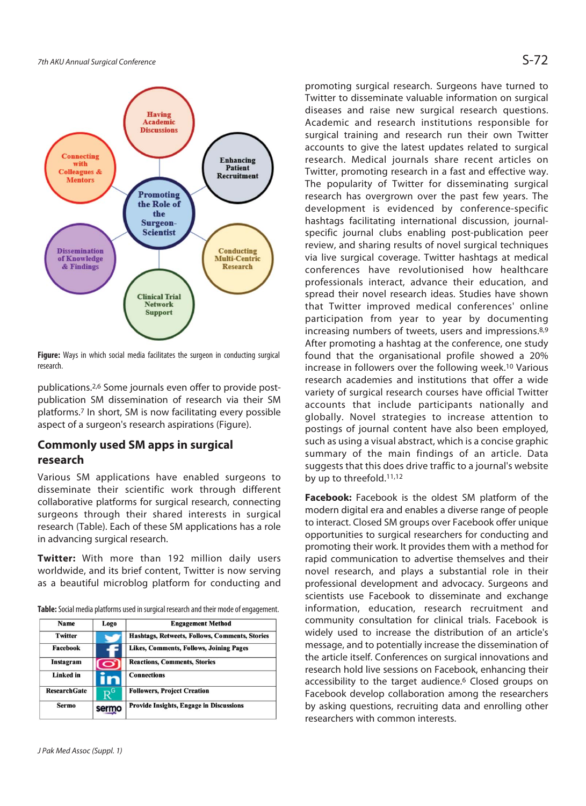

**Figure:** Ways in which social media facilitates the surgeon in conducting surgical research.

publications.2,6 Some journals even offer to provide postpublication SM dissemination of research via their SM platforms.7 In short, SM is now facilitating every possible aspect of a surgeon's research aspirations (Figure).

#### **Commonly used SM apps in surgical research**

Various SM applications have enabled surgeons to disseminate their scientific work through different collaborative platforms for surgical research, connecting surgeons through their shared interests in surgical research (Table). Each of these SM applications has a role in advancing surgical research.

**Twitter:** With more than 192 million daily users worldwide, and its brief content, Twitter is now serving as a beautiful microblog platform for conducting and

**Table:** Social media platforms used in surgical research and their mode of engagement.

| <b>Name</b>         | Logo  | <b>Engagement Method</b>                       |
|---------------------|-------|------------------------------------------------|
| <b>Twitter</b>      |       | Hashtags, Retweets, Follows, Comments, Stories |
| Facebook            |       | <b>Likes, Comments, Follows, Joining Pages</b> |
| Instagram           | 0     | <b>Reactions, Comments, Stories</b>            |
| Linked in           |       | <b>Connections</b>                             |
| <b>ResearchGate</b> | .G    | <b>Followers, Project Creation</b>             |
| <b>Sermo</b>        | sermo | <b>Provide Insights, Engage in Discussions</b> |

promoting surgical research. Surgeons have turned to Twitter to disseminate valuable information on surgical diseases and raise new surgical research questions. Academic and research institutions responsible for surgical training and research run their own Twitter accounts to give the latest updates related to surgical research. Medical journals share recent articles on Twitter, promoting research in a fast and effective way. The popularity of Twitter for disseminating surgical research has overgrown over the past few years. The development is evidenced by conference-specific hashtags facilitating international discussion, journalspecific journal clubs enabling post-publication peer review, and sharing results of novel surgical techniques via live surgical coverage. Twitter hashtags at medical conferences have revolutionised how healthcare professionals interact, advance their education, and spread their novel research ideas. Studies have shown that Twitter improved medical conferences' online participation from year to year by documenting increasing numbers of tweets, users and impressions.8,9 After promoting a hashtag at the conference, one study found that the organisational profile showed a 20% increase in followers over the following week.10 Various research academies and institutions that offer a wide variety of surgical research courses have official Twitter accounts that include participants nationally and globally. Novel strategies to increase attention to postings of journal content have also been employed, such as using a visual abstract, which is a concise graphic summary of the main findings of an article. Data suggests that this does drive traffic to a journal's website by up to threefold.11,12

**Facebook:** Facebook is the oldest SM platform of the modern digital era and enables a diverse range of people to interact. Closed SM groups over Facebook offer unique opportunities to surgical researchers for conducting and promoting their work. It provides them with a method for rapid communication to advertise themselves and their novel research, and plays a substantial role in their professional development and advocacy. Surgeons and scientists use Facebook to disseminate and exchange information, education, research recruitment and community consultation for clinical trials. Facebook is widely used to increase the distribution of an article's message, and to potentially increase the dissemination of the article itself. Conferences on surgical innovations and research hold live sessions on Facebook, enhancing their accessibility to the target audience.<sup>6</sup> Closed groups on Facebook develop collaboration among the researchers by asking questions, recruiting data and enrolling other researchers with common interests.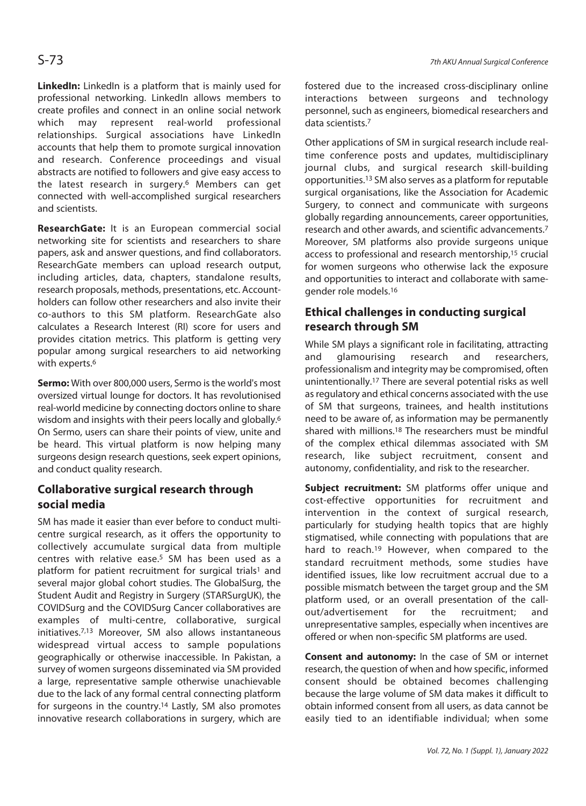**LinkedIn:** LinkedIn is a platform that is mainly used for professional networking. LinkedIn allows members to create profiles and connect in an online social network which may represent real-world professional relationships. Surgical associations have LinkedIn accounts that help them to promote surgical innovation and research. Conference proceedings and visual abstracts are notified to followers and give easy access to the latest research in surgery.<sup>6</sup> Members can get connected with well-accomplished surgical researchers and scientists.

**ResearchGate:** It is an European commercial social networking site for scientists and researchers to share papers, ask and answer questions, and find collaborators. ResearchGate members can upload research output, including articles, data, chapters, standalone results, research proposals, methods, presentations, etc. Accountholders can follow other researchers and also invite their co-authors to this SM platform. ResearchGate also calculates a Research Interest (RI) score for users and provides citation metrics. This platform is getting very popular among surgical researchers to aid networking with experts.<sup>6</sup>

**Sermo:** With over 800,000 users, Sermo is the world's most oversized virtual lounge for doctors. It has revolutionised real-world medicine by connecting doctors online to share wisdom and insights with their peers locally and globally.6 On Sermo, users can share their points of view, unite and be heard. This virtual platform is now helping many surgeons design research questions, seek expert opinions, and conduct quality research.

#### **Collaborative surgical research through social media**

SM has made it easier than ever before to conduct multicentre surgical research, as it offers the opportunity to collectively accumulate surgical data from multiple centres with relative ease.5 SM has been used as a platform for patient recruitment for surgical trials<sup>1</sup> and several major global cohort studies. The GlobalSurg, the Student Audit and Registry in Surgery (STARSurgUK), the COVIDSurg and the COVIDSurg Cancer collaboratives are examples of multi-centre, collaborative, surgical initiatives.7,13 Moreover, SM also allows instantaneous widespread virtual access to sample populations geographically or otherwise inaccessible. In Pakistan, a survey of women surgeons disseminated via SM provided a large, representative sample otherwise unachievable due to the lack of any formal central connecting platform for surgeons in the country.14 Lastly, SM also promotes innovative research collaborations in surgery, which are

fostered due to the increased cross-disciplinary online interactions between surgeons and technology personnel, such as engineers, biomedical researchers and data scientists.7

Other applications of SM in surgical research include realtime conference posts and updates, multidisciplinary journal clubs, and surgical research skill-building opportunities.13 SM also serves as a platform for reputable surgical organisations, like the Association for Academic Surgery, to connect and communicate with surgeons globally regarding announcements, career opportunities, research and other awards, and scientific advancements.7 Moreover, SM platforms also provide surgeons unique access to professional and research mentorship,15 crucial for women surgeons who otherwise lack the exposure and opportunities to interact and collaborate with samegender role models.16

#### **Ethical challenges in conducting surgical research through SM**

While SM plays a significant role in facilitating, attracting and glamourising research and researchers, professionalism and integrity may be compromised, often unintentionally.17 There are several potential risks as well as regulatory and ethical concerns associated with the use of SM that surgeons, trainees, and health institutions need to be aware of, as information may be permanently shared with millions.18 The researchers must be mindful of the complex ethical dilemmas associated with SM research, like subject recruitment, consent and autonomy, confidentiality, and risk to the researcher.

**Subject recruitment:** SM platforms offer unique and cost-effective opportunities for recruitment and intervention in the context of surgical research, particularly for studying health topics that are highly stigmatised, while connecting with populations that are hard to reach.19 However, when compared to the standard recruitment methods, some studies have identified issues, like low recruitment accrual due to a possible mismatch between the target group and the SM platform used, or an overall presentation of the callout/advertisement for the recruitment; and unrepresentative samples, especially when incentives are offered or when non-specific SM platforms are used.

**Consent and autonomy:** In the case of SM or internet research, the question of when and how specific, informed consent should be obtained becomes challenging because the large volume of SM data makes it difficult to obtain informed consent from all users, as data cannot be easily tied to an identifiable individual; when some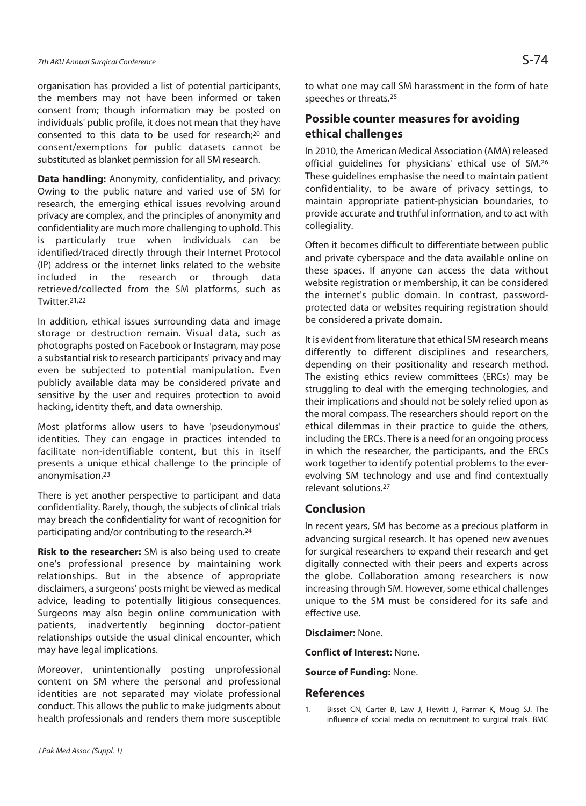organisation has provided a list of potential participants, the members may not have been informed or taken consent from; though information may be posted on individuals' public profile, it does not mean that they have consented to this data to be used for research;20 and consent/exemptions for public datasets cannot be substituted as blanket permission for all SM research.

**Data handling:** Anonymity, confidentiality, and privacy: Owing to the public nature and varied use of SM for research, the emerging ethical issues revolving around privacy are complex, and the principles of anonymity and confidentiality are much more challenging to uphold. This is particularly true when individuals can be identified/traced directly through their Internet Protocol (IP) address or the internet links related to the website included in the research or through data retrieved/collected from the SM platforms, such as Twitter.21,22

In addition, ethical issues surrounding data and image storage or destruction remain. Visual data, such as photographs posted on Facebook or Instagram, may pose a substantial risk to research participants' privacy and may even be subjected to potential manipulation. Even publicly available data may be considered private and sensitive by the user and requires protection to avoid hacking, identity theft, and data ownership.

Most platforms allow users to have 'pseudonymous' identities. They can engage in practices intended to facilitate non-identifiable content, but this in itself presents a unique ethical challenge to the principle of anonymisation.23

There is yet another perspective to participant and data confidentiality. Rarely, though, the subjects of clinical trials may breach the confidentiality for want of recognition for participating and/or contributing to the research.24

**Risk to the researcher:** SM is also being used to create one's professional presence by maintaining work relationships. But in the absence of appropriate disclaimers, a surgeons' posts might be viewed as medical advice, leading to potentially litigious consequences. Surgeons may also begin online communication with patients, inadvertently beginning doctor-patient relationships outside the usual clinical encounter, which may have legal implications.

Moreover, unintentionally posting unprofessional content on SM where the personal and professional identities are not separated may violate professional conduct. This allows the public to make judgments about health professionals and renders them more susceptible

#### **Possible counter measures for avoiding ethical challenges**

In 2010, the American Medical Association (AMA) released official guidelines for physicians' ethical use of SM.26 These guidelines emphasise the need to maintain patient confidentiality, to be aware of privacy settings, to maintain appropriate patient-physician boundaries, to provide accurate and truthful information, and to act with collegiality.

Often it becomes difficult to differentiate between public and private cyberspace and the data available online on these spaces. If anyone can access the data without website registration or membership, it can be considered the internet's public domain. In contrast, passwordprotected data or websites requiring registration should be considered a private domain.

It is evident from literature that ethical SM research means differently to different disciplines and researchers, depending on their positionality and research method. The existing ethics review committees (ERCs) may be struggling to deal with the emerging technologies, and their implications and should not be solely relied upon as the moral compass. The researchers should report on the ethical dilemmas in their practice to guide the others, including the ERCs. There is a need for an ongoing process in which the researcher, the participants, and the ERCs work together to identify potential problems to the everevolving SM technology and use and find contextually relevant solutions.27

#### **Conclusion**

In recent years, SM has become as a precious platform in advancing surgical research. It has opened new avenues for surgical researchers to expand their research and get digitally connected with their peers and experts across the globe. Collaboration among researchers is now increasing through SM. However, some ethical challenges unique to the SM must be considered for its safe and effective use.

**Disclaimer:** None.

**Conflict of Interest:** None.

**Source of Funding:** None.

#### **References**

1. Bisset CN, Carter B, Law J, Hewitt J, Parmar K, Moug SJ. The influence of social media on recruitment to surgical trials. BMC